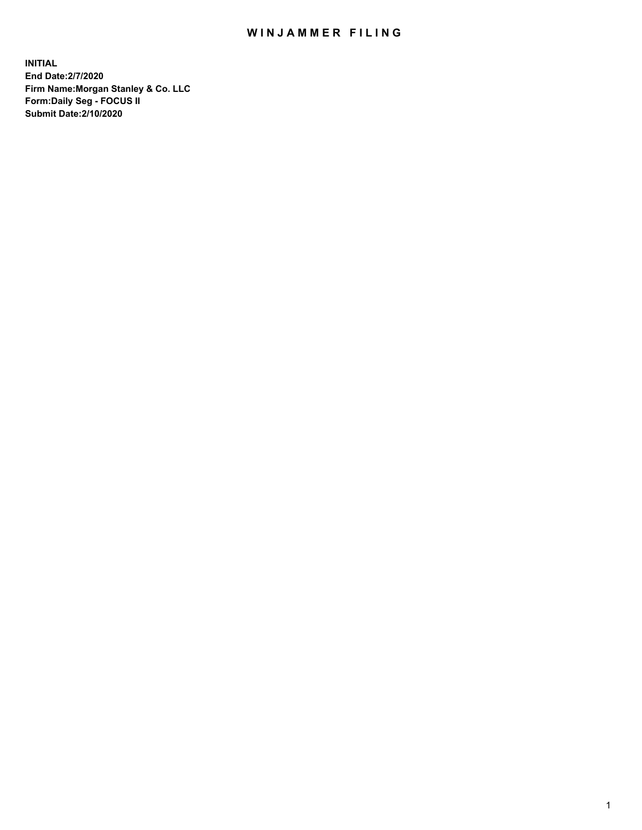## WIN JAMMER FILING

**INITIAL End Date:2/7/2020 Firm Name:Morgan Stanley & Co. LLC Form:Daily Seg - FOCUS II Submit Date:2/10/2020**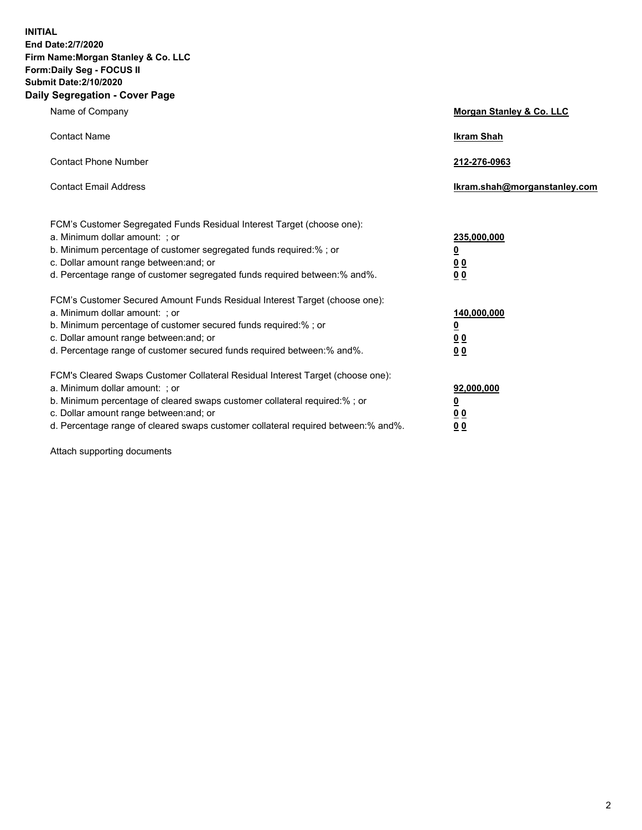**INITIAL End Date:2/7/2020 Firm Name:Morgan Stanley & Co. LLC Form:Daily Seg - FOCUS II Submit Date:2/10/2020 Daily Segregation - Cover Page**

| Name of Company                                                                                                                                                                                                                                                                                                               | Morgan Stanley & Co. LLC                                    |
|-------------------------------------------------------------------------------------------------------------------------------------------------------------------------------------------------------------------------------------------------------------------------------------------------------------------------------|-------------------------------------------------------------|
| <b>Contact Name</b>                                                                                                                                                                                                                                                                                                           | <b>Ikram Shah</b>                                           |
| <b>Contact Phone Number</b>                                                                                                                                                                                                                                                                                                   | 212-276-0963                                                |
| <b>Contact Email Address</b>                                                                                                                                                                                                                                                                                                  | Ikram.shah@morganstanley.com                                |
| FCM's Customer Segregated Funds Residual Interest Target (choose one):<br>a. Minimum dollar amount: ; or<br>b. Minimum percentage of customer segregated funds required:% ; or<br>c. Dollar amount range between: and; or<br>d. Percentage range of customer segregated funds required between:% and%.                        | 235,000,000<br><u>0</u><br><u>00</u><br>0 <sup>0</sup>      |
| FCM's Customer Secured Amount Funds Residual Interest Target (choose one):<br>a. Minimum dollar amount: ; or<br>b. Minimum percentage of customer secured funds required:%; or<br>c. Dollar amount range between: and; or<br>d. Percentage range of customer secured funds required between:% and%.                           | 140,000,000<br><u>0</u><br>0 <sub>0</sub><br>0 <sub>0</sub> |
| FCM's Cleared Swaps Customer Collateral Residual Interest Target (choose one):<br>a. Minimum dollar amount: ; or<br>b. Minimum percentage of cleared swaps customer collateral required:%; or<br>c. Dollar amount range between: and; or<br>d. Percentage range of cleared swaps customer collateral required between:% and%. | 92,000,000<br><u>0</u><br>0 Q<br>00                         |

Attach supporting documents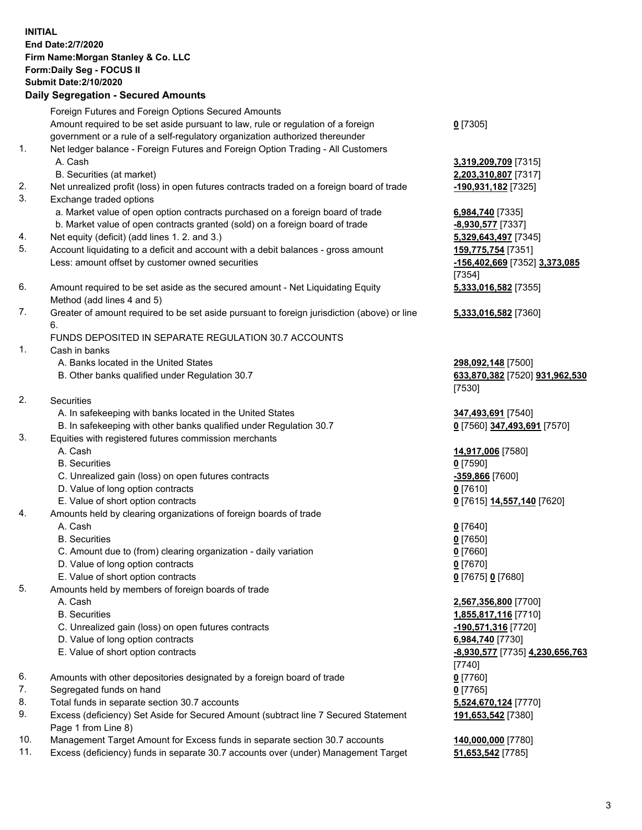## **INITIAL End Date:2/7/2020 Firm Name:Morgan Stanley & Co. LLC Form:Daily Seg - FOCUS II Submit Date:2/10/2020 Daily Segregation - Secured Amounts** Foreign Futures and Foreign Options Secured Amounts Amount required to be set aside pursuant to law, rule or regulation of a foreign government or a rule of a self-regulatory organization authorized thereunder 1. Net ledger balance - Foreign Futures and Foreign Option Trading - All Customers A. Cash **3,319,209,709** [7315] B. Securities (at market) **2,203,310,807** [7317] 2. Net unrealized profit (loss) in open futures contracts traded on a foreign board of trade **-190,931,182** [7325] 3. Exchange traded options a. Market value of open option contracts purchased on a foreign board of trade **6,984,740** [7335] b. Market value of open contracts granted (sold) on a foreign board of trade **-8,930,577** [7337] 4. Net equity (deficit) (add lines 1. 2. and 3.) **5,329,643,497** [7345] 5. Account liquidating to a deficit and account with a debit balances - gross amount **159,775,754** [7351] Less: amount offset by customer owned securities **-156,402,669** [7352] **3,373,085** 6. Amount required to be set aside as the secured amount - Net Liquidating Equity Method (add lines 4 and 5) 7. Greater of amount required to be set aside pursuant to foreign jurisdiction (above) or line 6. FUNDS DEPOSITED IN SEPARATE REGULATION 30.7 ACCOUNTS 1. Cash in banks A. Banks located in the United States **298,092,148** [7500] B. Other banks qualified under Regulation 30.7 **633,870,382** [7520] **931,962,530** 2. Securities A. In safekeeping with banks located in the United States **347,493,691** [7540] B. In safekeeping with other banks qualified under Regulation 30.7 **0** [7560] **347,493,691** [7570] 3. Equities with registered futures commission merchants A. Cash **14,917,006** [7580] B. Securities **0** [7590] C. Unrealized gain (loss) on open futures contracts **-359,866** [7600] D. Value of long option contracts **0** [7610] E. Value of short option contracts **0** [7615] **14,557,140** [7620] 4. Amounts held by clearing organizations of foreign boards of trade A. Cash **0** [7640] B. Securities **0** [7650] C. Amount due to (from) clearing organization - daily variation **0** [7660] D. Value of long option contracts **0** [7670] E. Value of short option contracts **0** [7675] **0** [7680] 5. Amounts held by members of foreign boards of trade A. Cash **2,567,356,800** [7700] B. Securities **1,855,817,116** [7710] C. Unrealized gain (loss) on open futures contracts **-190,571,316** [7720] D. Value of long option contracts **6,984,740** [7730] E. Value of short option contracts **-8,930,577** [7735] **4,230,656,763** 6. Amounts with other depositories designated by a foreign board of trade **0** [7760] 7. Segregated funds on hand **0** [7765]

- 8. Total funds in separate section 30.7 accounts **5,524,670,124** [7770]
- 9. Excess (deficiency) Set Aside for Secured Amount (subtract line 7 Secured Statement Page 1 from Line 8)
- 10. Management Target Amount for Excess funds in separate section 30.7 accounts **140,000,000** [7780]
- 11. Excess (deficiency) funds in separate 30.7 accounts over (under) Management Target **51,653,542** [7785]

**0** [7305]

[7354] **5,333,016,582** [7355]

**5,333,016,582** [7360]

[7530]

[7740] **191,653,542** [7380]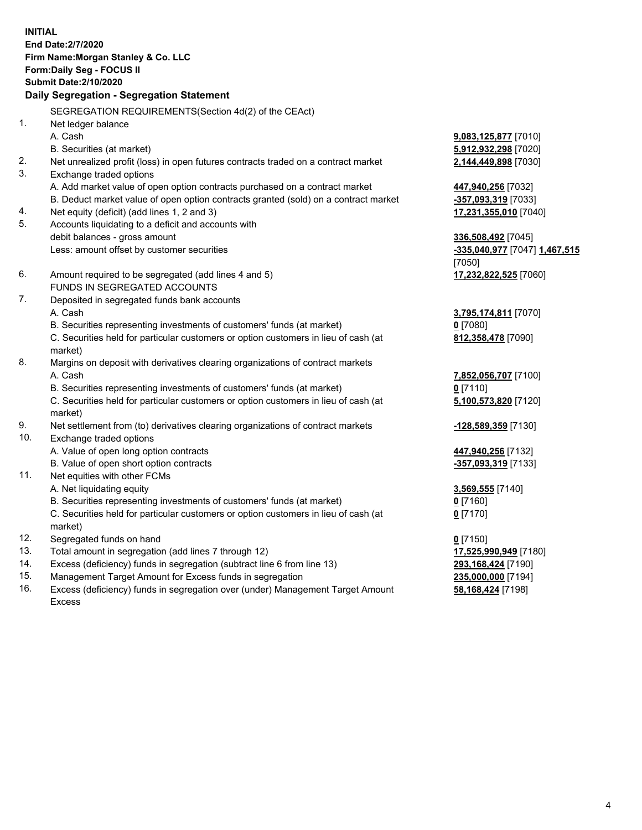**INITIAL End Date:2/7/2020 Firm Name:Morgan Stanley & Co. LLC Form:Daily Seg - FOCUS II Submit Date:2/10/2020 Daily Segregation - Segregation Statement** SEGREGATION REQUIREMENTS(Section 4d(2) of the CEAct) 1. Net ledger balance A. Cash **9,083,125,877** [7010] B. Securities (at market) **5,912,932,298** [7020] 2. Net unrealized profit (loss) in open futures contracts traded on a contract market **2,144,449,898** [7030] 3. Exchange traded options A. Add market value of open option contracts purchased on a contract market **447,940,256** [7032] B. Deduct market value of open option contracts granted (sold) on a contract market **-357,093,319** [7033] 4. Net equity (deficit) (add lines 1, 2 and 3) **17,231,355,010** [7040] 5. Accounts liquidating to a deficit and accounts with debit balances - gross amount **336,508,492** [7045] Less: amount offset by customer securities **-335,040,977** [7047] **1,467,515** [7050] 6. Amount required to be segregated (add lines 4 and 5) **17,232,822,525** [7060] FUNDS IN SEGREGATED ACCOUNTS 7. Deposited in segregated funds bank accounts A. Cash **3,795,174,811** [7070] B. Securities representing investments of customers' funds (at market) **0** [7080] C. Securities held for particular customers or option customers in lieu of cash (at market) **812,358,478** [7090] 8. Margins on deposit with derivatives clearing organizations of contract markets A. Cash **7,852,056,707** [7100] B. Securities representing investments of customers' funds (at market) **0** [7110] C. Securities held for particular customers or option customers in lieu of cash (at market) **5,100,573,820** [7120] 9. Net settlement from (to) derivatives clearing organizations of contract markets **-128,589,359** [7130] 10. Exchange traded options A. Value of open long option contracts **447,940,256** [7132] B. Value of open short option contracts **-357,093,319** [7133] 11. Net equities with other FCMs A. Net liquidating equity **3,569,555** [7140] B. Securities representing investments of customers' funds (at market) **0** [7160] C. Securities held for particular customers or option customers in lieu of cash (at market) **0** [7170] 12. Segregated funds on hand **0** [7150] 13. Total amount in segregation (add lines 7 through 12) **17,525,990,949** [7180] 14. Excess (deficiency) funds in segregation (subtract line 6 from line 13) **293,168,424** [7190]

- 15. Management Target Amount for Excess funds in segregation **235,000,000** [7194]
- 16. Excess (deficiency) funds in segregation over (under) Management Target Amount Excess

**58,168,424** [7198]